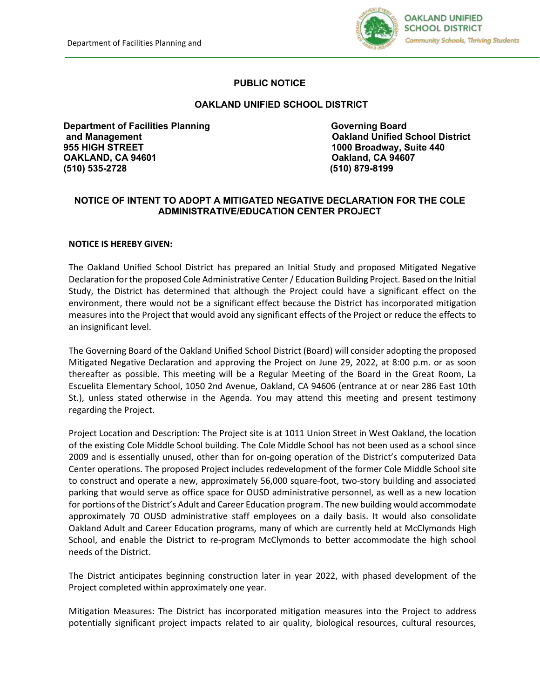

## **PUBLIC NOTICE**

## **OAKLAND UNIFIED SCHOOL DISTRICT**

**Department of Facilities Planning Coverning Board Governing Board and Management Coverse Coverning Board and Management Coverse Coverning Soard and Management Coverse Coverse Coverse Coverse Coverse Coverse Coverse Covers 955 HIGH STREET 1000 Broadway, Suite 440 OAKLAND, CA 94601 Oakland, CA 94607 (510) 535-2728 (510) 879-8199**

**Oakland Unified School District** 

## **NOTICE OF INTENT TO ADOPT A MITIGATED NEGATIVE DECLARATION FOR THE COLE ADMINISTRATIVE/EDUCATION CENTER PROJECT**

## **NOTICE IS HEREBY GIVEN:**

The Oakland Unified School District has prepared an Initial Study and proposed Mitigated Negative Declaration for the proposed Cole Administrative Center / Education Building Project. Based on the Initial Study, the District has determined that although the Project could have a significant effect on the environment, there would not be a significant effect because the District has incorporated mitigation measures into the Project that would avoid any significant effects of the Project or reduce the effects to an insignificant level.

The Governing Board of the Oakland Unified School District (Board) will consider adopting the proposed Mitigated Negative Declaration and approving the Project on June 29, 2022, at 8:00 p.m. or as soon thereafter as possible. This meeting will be a Regular Meeting of the Board in the Great Room, La Escuelita Elementary School, 1050 2nd Avenue, Oakland, CA 94606 (entrance at or near 286 East 10th St.), unless stated otherwise in the Agenda. You may attend this meeting and present testimony regarding the Project.

Project Location and Description: The Project site is at 1011 Union Street in West Oakland, the location of the existing Cole Middle School building. The Cole Middle School has not been used as a school since 2009 and is essentially unused, other than for on-going operation of the District's computerized Data Center operations. The proposed Project includes redevelopment of the former Cole Middle School site to construct and operate a new, approximately 56,000 square-foot, two-story building and associated parking that would serve as office space for OUSD administrative personnel, as well as a new location for portions of the District's Adult and Career Education program. The new building would accommodate approximately 70 OUSD administrative staff employees on a daily basis. It would also consolidate Oakland Adult and Career Education programs, many of which are currently held at McClymonds High School, and enable the District to re-program McClymonds to better accommodate the high school needs of the District.

The District anticipates beginning construction later in year 2022, with phased development of the Project completed within approximately one year.

Mitigation Measures: The District has incorporated mitigation measures into the Project to address potentially significant project impacts related to air quality, biological resources, cultural resources,